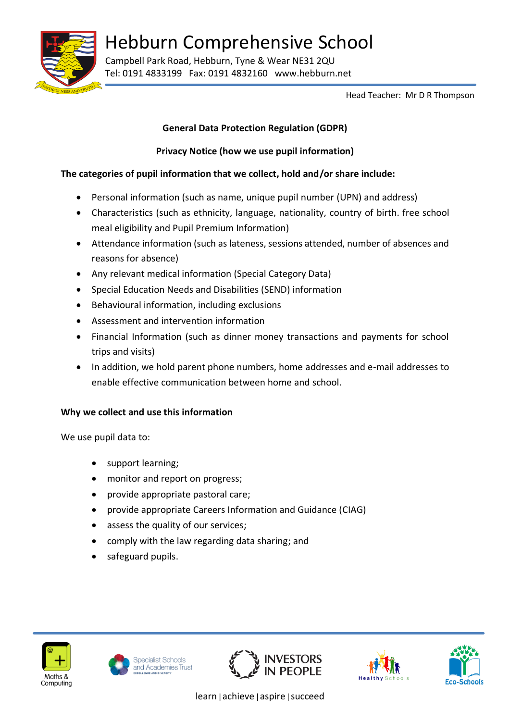

Hebburn Comprehensive School

Campbell Park Road, Hebburn, Tyne & Wear NE31 2QU Tel: 0191 4833199 Fax: 0191 4832160 www.hebburn.net

Head Teacher: Mr D R Thompson

## **General Data Protection Regulation (GDPR)**

# **Privacy Notice (how we use pupil information)**

# **The categories of pupil information that we collect, hold and/or share include:**

- Personal information (such as name, unique pupil number (UPN) and address)
- Characteristics (such as ethnicity, language, nationality, country of birth. free school meal eligibility and Pupil Premium Information)
- Attendance information (such as lateness, sessions attended, number of absences and reasons for absence)
- Any relevant medical information (Special Category Data)
- Special Education Needs and Disabilities (SEND) information
- Behavioural information, including exclusions
- Assessment and intervention information
- Financial Information (such as dinner money transactions and payments for school trips and visits)
- In addition, we hold parent phone numbers, home addresses and e-mail addresses to enable effective communication between home and school.

## **Why we collect and use this information**

We use pupil data to:

- support learning;
- monitor and report on progress;
- provide appropriate pastoral care;
- provide appropriate Careers Information and Guidance (CIAG)
- assess the quality of our services;
- comply with the law regarding data sharing; and
- safeguard pupils.











learn|achieve|aspire|succeed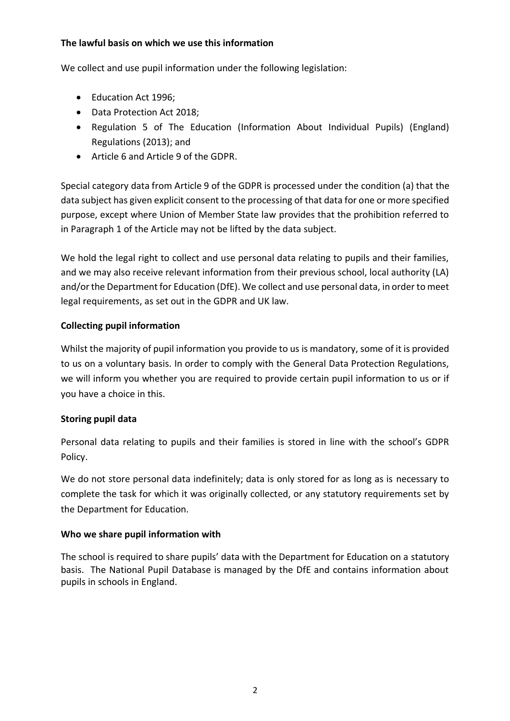#### **The lawful basis on which we use this information**

We collect and use pupil information under the following legislation:

- Education Act 1996;
- Data Protection Act 2018;
- Regulation 5 of The Education (Information About Individual Pupils) (England) Regulations (2013); and
- Article 6 and Article 9 of the GDPR.

Special category data from Article 9 of the GDPR is processed under the condition (a) that the data subject has given explicit consent to the processing of that data for one or more specified purpose, except where Union of Member State law provides that the prohibition referred to in Paragraph 1 of the Article may not be lifted by the data subject.

We hold the legal right to collect and use personal data relating to pupils and their families, and we may also receive relevant information from their previous school, local authority (LA) and/or the Department for Education (DfE). We collect and use personal data, in order to meet legal requirements, as set out in the GDPR and UK law.

## **Collecting pupil information**

Whilst the majority of pupil information you provide to us is mandatory, some of it is provided to us on a voluntary basis. In order to comply with the General Data Protection Regulations, we will inform you whether you are required to provide certain pupil information to us or if you have a choice in this.

## **Storing pupil data**

Personal data relating to pupils and their families is stored in line with the school's GDPR Policy.

We do not store personal data indefinitely; data is only stored for as long as is necessary to complete the task for which it was originally collected, or any statutory requirements set by the Department for Education.

## **Who we share pupil information with**

The school is required to share pupils' data with the Department for Education on a statutory basis. The National Pupil Database is managed by the DfE and contains information about pupils in schools in England.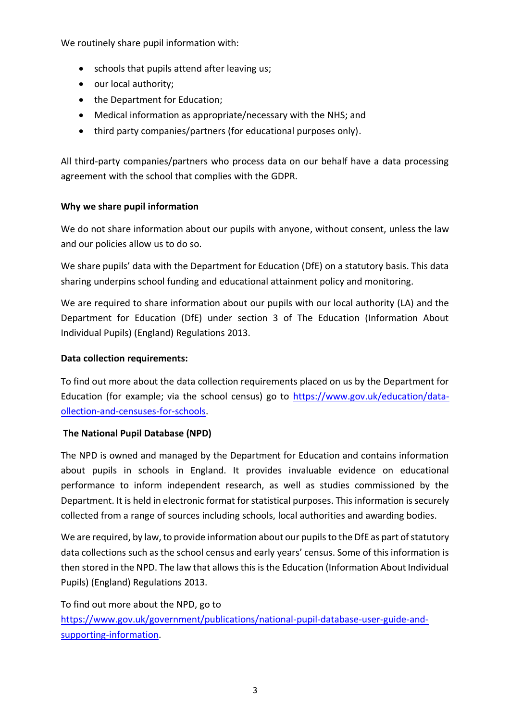We routinely share pupil information with:

- schools that pupils attend after leaving us;
- our local authority;
- the Department for Education:
- Medical information as appropriate/necessary with the NHS; and
- third party companies/partners (for educational purposes only).

All third-party companies/partners who process data on our behalf have a data processing agreement with the school that complies with the GDPR.

#### **Why we share pupil information**

We do not share information about our pupils with anyone, without consent, unless the law and our policies allow us to do so.

We share pupils' data with the Department for Education (DfE) on a statutory basis. This data sharing underpins school funding and educational attainment policy and monitoring.

We are required to share information about our pupils with our local authority (LA) and the Department for Education (DfE) under section 3 of The Education (Information About Individual Pupils) (England) Regulations 2013.

#### **Data collection requirements:**

To find out more about the data collection requirements placed on us by the Department for Education (for example; via the school census) go to  $\frac{https://www.gov.uk/education/data-1}{https://www.gov.uk/education/data-1}$ [ollection-and-censuses-for-schools.](https://www.gov.uk/education/data-collection-and-censuses-for-schools)

#### **The National Pupil Database (NPD)**

The NPD is owned and managed by the Department for Education and contains information about pupils in schools in England. It provides invaluable evidence on educational performance to inform independent research, as well as studies commissioned by the Department. It is held in electronic format for statistical purposes. This information is securely collected from a range of sources including schools, local authorities and awarding bodies.

We are required, by law, to provide information about our pupils to the DfE as part of statutory data collections such as the school census and early years' census. Some of this information is then stored in the NPD. The law that allows this is the Education (Information About Individual Pupils) (England) Regulations 2013.

To find out more about the NPD, go to [https://www.gov.uk/government/publications/national-pupil-database-user-guide-and](https://www.gov.uk/government/publications/national-pupil-database-user-guide-and-supporting-information)[supporting-information.](https://www.gov.uk/government/publications/national-pupil-database-user-guide-and-supporting-information)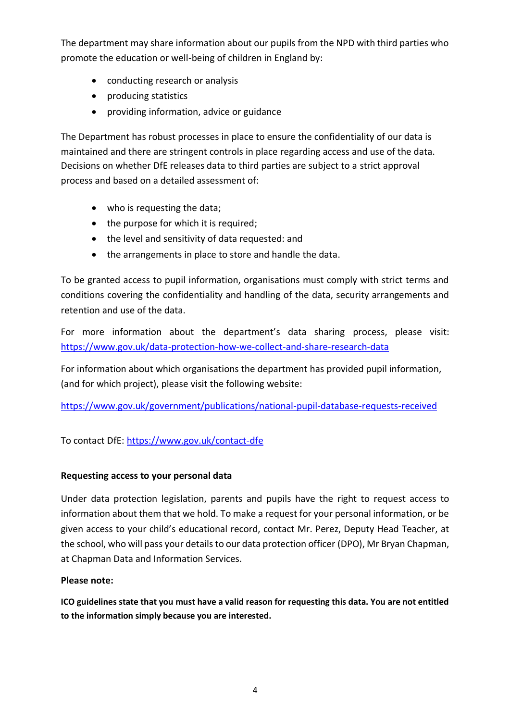The department may share information about our pupils from the NPD with third parties who promote the education or well-being of children in England by:

- conducting research or analysis
- producing statistics
- providing information, advice or guidance

The Department has robust processes in place to ensure the confidentiality of our data is maintained and there are stringent controls in place regarding access and use of the data. Decisions on whether DfE releases data to third parties are subject to a strict approval process and based on a detailed assessment of:

- who is requesting the data;
- the purpose for which it is required;
- the level and sensitivity of data requested: and
- the arrangements in place to store and handle the data.

To be granted access to pupil information, organisations must comply with strict terms and conditions covering the confidentiality and handling of the data, security arrangements and retention and use of the data.

For more information about the department's data sharing process, please visit: <https://www.gov.uk/data-protection-how-we-collect-and-share-research-data>

For information about which organisations the department has provided pupil information, (and for which project), please visit the following website:

<https://www.gov.uk/government/publications/national-pupil-database-requests-received>

To contact DfE:<https://www.gov.uk/contact-dfe>

#### **Requesting access to your personal data**

Under data protection legislation, parents and pupils have the right to request access to information about them that we hold. To make a request for your personal information, or be given access to your child's educational record, contact Mr. Perez, Deputy Head Teacher, at the school, who will pass your details to our data protection officer (DPO), Mr Bryan Chapman, at Chapman Data and Information Services.

## **Please note:**

**ICO guidelines state that you must have a valid reason for requesting this data. You are not entitled to the information simply because you are interested.**